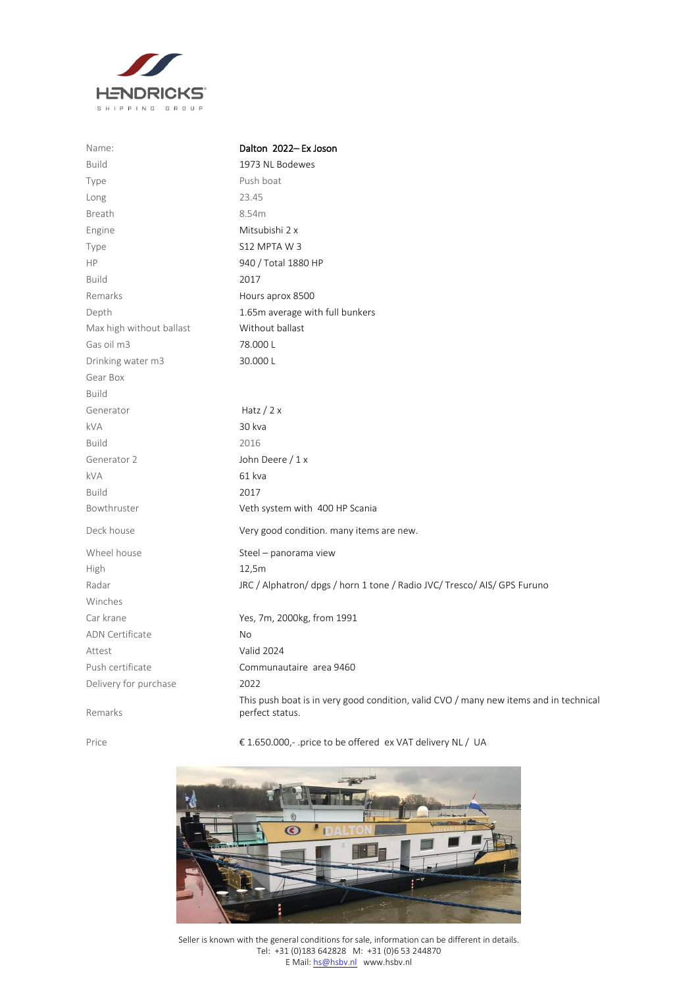

| Name:                    | Dalton 2022-Ex Joson                                                                                     |
|--------------------------|----------------------------------------------------------------------------------------------------------|
| <b>Build</b>             | 1973 NL Bodewes                                                                                          |
| Type                     | Push boat                                                                                                |
| Long                     | 23.45                                                                                                    |
| <b>Breath</b>            | 8.54m                                                                                                    |
| Engine                   | Mitsubishi 2 x                                                                                           |
| Type                     | S12 MPTAW3                                                                                               |
| HP                       | 940 / Total 1880 HP                                                                                      |
| <b>Build</b>             | 2017                                                                                                     |
| Remarks                  | Hours aprox 8500                                                                                         |
| Depth                    | 1.65m average with full bunkers                                                                          |
| Max high without ballast | Without ballast                                                                                          |
| Gas oil m3               | 78.000L                                                                                                  |
| Drinking water m3        | 30.000L                                                                                                  |
| Gear Box                 |                                                                                                          |
| <b>Build</b>             |                                                                                                          |
| Generator                | Hatz $/$ 2 x                                                                                             |
| <b>kVA</b>               | 30 kva                                                                                                   |
| <b>Build</b>             | 2016                                                                                                     |
| Generator 2              | John Deere / 1 x                                                                                         |
| <b>kVA</b>               | 61 kva                                                                                                   |
| <b>Build</b>             | 2017                                                                                                     |
| Bowthruster              | Veth system with 400 HP Scania                                                                           |
| Deck house               | Very good condition. many items are new.                                                                 |
| Wheel house              | Steel - panorama view                                                                                    |
| High                     | 12,5m                                                                                                    |
| Radar                    | JRC / Alphatron/ dpgs / horn 1 tone / Radio JVC/ Tresco/ AIS/ GPS Furuno                                 |
| Winches                  |                                                                                                          |
| Car krane                | Yes, 7m, 2000kg, from 1991                                                                               |
| <b>ADN Certificate</b>   | No                                                                                                       |
| Attest                   | <b>Valid 2024</b>                                                                                        |
| Push certificate         | Communautaire area 9460                                                                                  |
| Delivery for purchase    | 2022                                                                                                     |
| Remarks                  | This push boat is in very good condition, valid CVO / many new items and in technical<br>perfect status. |

Price € 1.650.000,- .price to be offered ex VAT delivery NL / UA



Seller is known with the general conditions for sale, information can be different in details. Tel: +31 (0)183 642828 M: +31 (0)6 53 244870 E Mail[: hs@hsbv.nl](mailto:hs@hsbv.nl) www.hsbv.nl